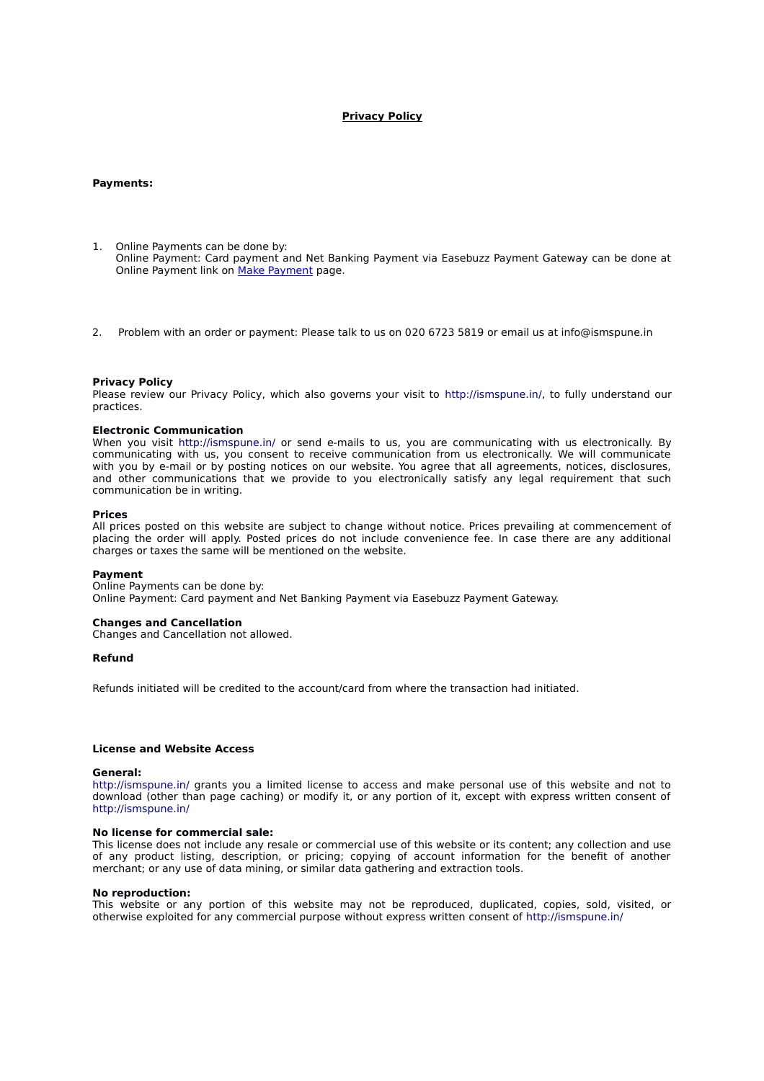# **Privacy Policy**

# **Payments:**

- 1. Online Payments can be done by: Online Payment: Card payment and Net Banking Payment via Easebuzz Payment Gateway can be done at Online Payment link on [Make Payment](http://ismspune.in/payment/index.php) page.
- 2. Problem with an order or payment: Please talk to us on 020 6723 5819 or email us at info@ismspune.in

## **Privacy Policy**

Please review our Privacy Policy, which also governs your visit to http://ismspune.in/, to fully understand our practices.

## **Electronic Communication**

When you visit http://ismspune.in/ or send e-mails to us, you are communicating with us electronically. By communicating with us, you consent to receive communication from us electronically. We will communicate with you by e-mail or by posting notices on our website. You agree that all agreements, notices, disclosures, and other communications that we provide to you electronically satisfy any legal requirement that such communication be in writing.

### **Prices**

All prices posted on this website are subject to change without notice. Prices prevailing at commencement of placing the order will apply. Posted prices do not include convenience fee. In case there are any additional charges or taxes the same will be mentioned on the website.

#### **Payment**

Online Payments can be done by: Online Payment: Card payment and Net Banking Payment via Easebuzz Payment Gateway.

# **Changes and Cancellation**

Changes and Cancellation not allowed.

### **Refund**

Refunds initiated will be credited to the account/card from where the transaction had initiated.

## **License and Website Access**

#### **General:**

http://ismspune.in/ grants you a limited license to access and make personal use of this website and not to download (other than page caching) or modify it, or any portion of it, except with express written consent of http://ismspune.in/

#### **No license for commercial sale:**

This license does not include any resale or commercial use of this website or its content; any collection and use of any product listing, description, or pricing; copying of account information for the benefit of another merchant; or any use of data mining, or similar data gathering and extraction tools.

### **No reproduction:**

This website or any portion of this website may not be reproduced, duplicated, copies, sold, visited, or otherwise exploited for any commercial purpose without express written consent of http://ismspune.in/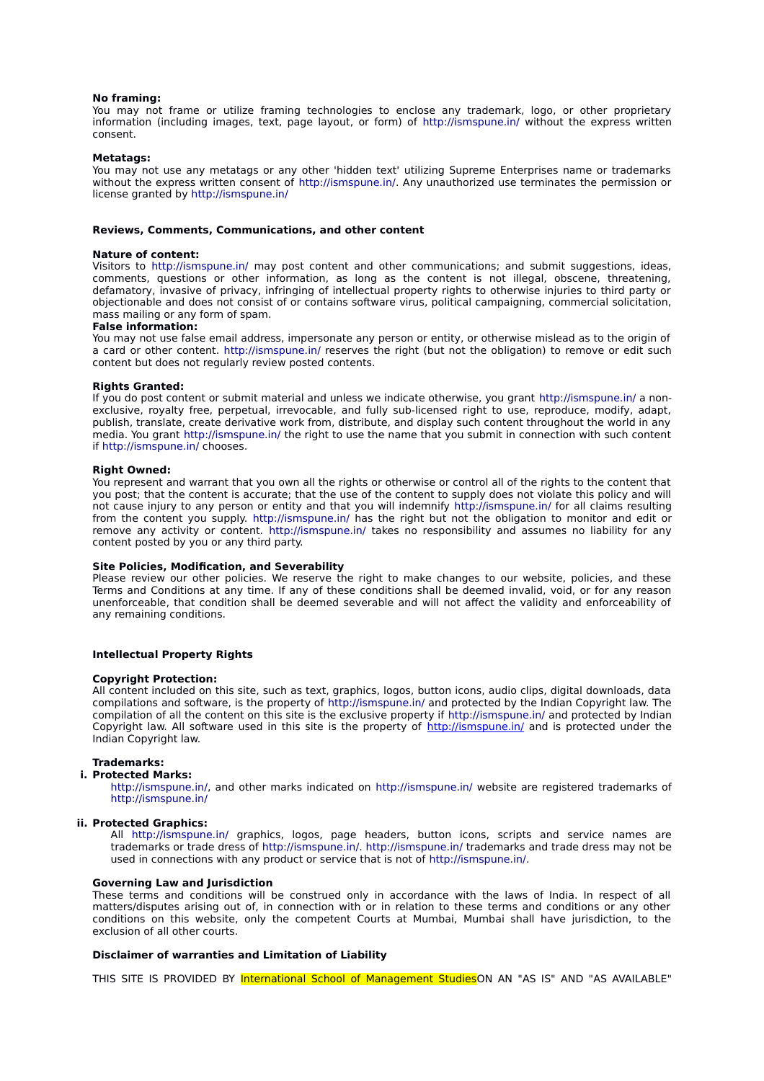## **No framing:**

You may not frame or utilize framing technologies to enclose any trademark, logo, or other proprietary information (including images, text, page layout, or form) of http://ismspune.in/ without the express written consent.

### **Metatags:**

You may not use any metatags or any other 'hidden text' utilizing Supreme Enterprises name or trademarks without the express written consent of http://ismspune.in/. Any unauthorized use terminates the permission or license granted by http://ismspune.in/

## **Reviews, Comments, Communications, and other content**

#### **Nature of content:**

Visitors to http://ismspune.in/ may post content and other communications; and submit suggestions, ideas, comments, questions or other information, as long as the content is not illegal, obscene, threatening, defamatory, invasive of privacy, infringing of intellectual property rights to otherwise injuries to third party or objectionable and does not consist of or contains software virus, political campaigning, commercial solicitation, mass mailing or any form of spam.

#### **False information:**

You may not use false email address, impersonate any person or entity, or otherwise mislead as to the origin of a card or other content. http://ismspune.in/ reserves the right (but not the obligation) to remove or edit such content but does not regularly review posted contents.

## **Rights Granted:**

If you do post content or submit material and unless we indicate otherwise, you grant http://ismspune.in/ a nonexclusive, royalty free, perpetual, irrevocable, and fully sub-licensed right to use, reproduce, modify, adapt, publish, translate, create derivative work from, distribute, and display such content throughout the world in any media. You grant http://ismspune.in/ the right to use the name that you submit in connection with such content if http://ismspune.in/ chooses.

### **Right Owned:**

You represent and warrant that you own all the rights or otherwise or control all of the rights to the content that you post; that the content is accurate; that the use of the content to supply does not violate this policy and will not cause injury to any person or entity and that you will indemnify http://ismspune.in/ for all claims resulting from the content you supply. http://ismspune.in/ has the right but not the obligation to monitor and edit or remove any activity or content. http://ismspune.in/ takes no responsibility and assumes no liability for any content posted by you or any third party.

### **Site Policies, Modification, and Severability**

Please review our other policies. We reserve the right to make changes to our website, policies, and these Terms and Conditions at any time. If any of these conditions shall be deemed invalid, void, or for any reason unenforceable, that condition shall be deemed severable and will not affect the validity and enforceability of any remaining conditions.

## **Intellectual Property Rights**

### **Copyright Protection:**

All content included on this site, such as text, graphics, logos, button icons, audio clips, digital downloads, data compilations and software, is the property of http://ismspune.in/ and protected by the Indian Copyright law. The compilation of all the content on this site is the exclusive property if http://ismspune.in/ and protected by Indian Copyright law. All software used in this site is the property of http://ismspune.in/ and is protected under the Indian Copyright law.

# **Trademarks:**

#### **i. Protected Marks:**

http://ismspune.in/, and other marks indicated on http://ismspune.in/ website are registered trademarks of http://ismspune.in/

### **ii. Protected Graphics:**

All http://ismspune.in/ graphics, logos, page headers, button icons, scripts and service names are trademarks or trade dress of http://ismspune.in/. http://ismspune.in/ trademarks and trade dress may not be used in connections with any product or service that is not of http://ismspune.in/.

## **Governing Law and Jurisdiction**

These terms and conditions will be construed only in accordance with the laws of India. In respect of all matters/disputes arising out of, in connection with or in relation to these terms and conditions or any other conditions on this website, only the competent Courts at Mumbai, Mumbai shall have jurisdiction, to the exclusion of all other courts.

## **Disclaimer of warranties and Limitation of Liability**

THIS SITE IS PROVIDED BY International School of Management StudiesON AN "AS IS" AND "AS AVAILABLE"